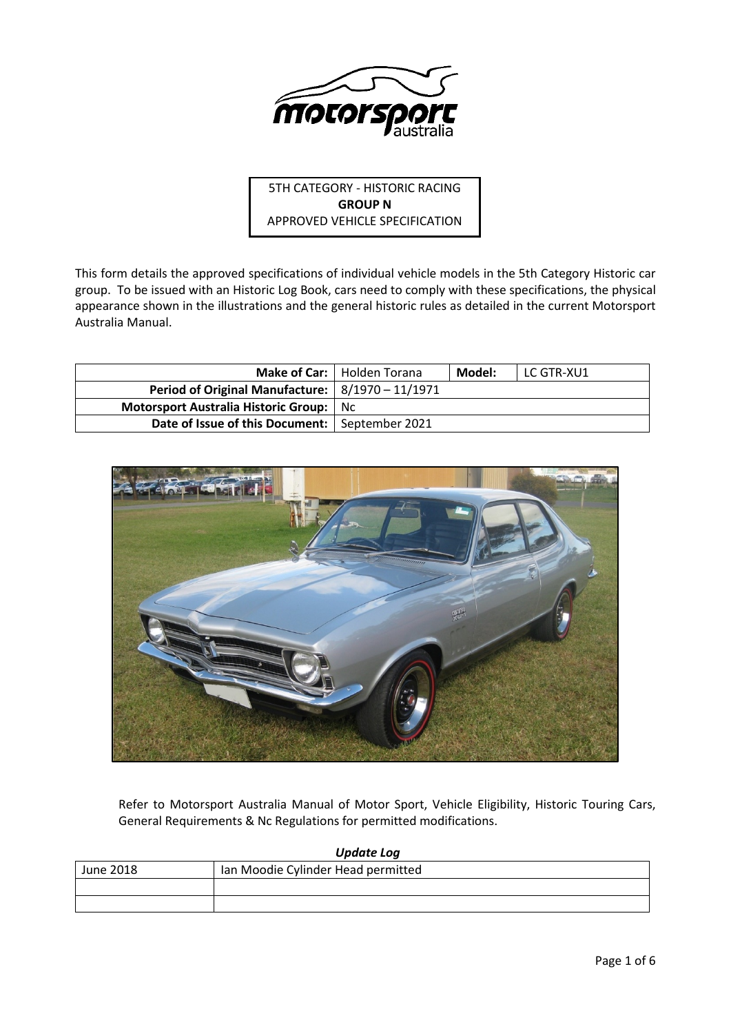

5TH CATEGORY - HISTORIC RACING **GROUP N** APPROVED VEHICLE SPECIFICATION

This form details the approved specifications of individual vehicle models in the 5th Category Historic car group. To be issued with an Historic Log Book, cars need to comply with these specifications, the physical appearance shown in the illustrations and the general historic rules as detailed in the current Motorsport Australia Manual.

|                                                      | Make of Car:   Holden Torana | Model: | l LC GTR-XU1 |
|------------------------------------------------------|------------------------------|--------|--------------|
| Period of Original Manufacture: $  8/1970 - 11/1971$ |                              |        |              |
| <b>Motorsport Australia Historic Group:</b> Nc       |                              |        |              |
| Date of Issue of this Document:   September 2021     |                              |        |              |



Refer to Motorsport Australia Manual of Motor Sport, Vehicle Eligibility, Historic Touring Cars, General Requirements & Nc Regulations for permitted modifications.

| <b>Update Log</b> |                                    |  |  |  |
|-------------------|------------------------------------|--|--|--|
| June 2018         | Ian Moodie Cylinder Head permitted |  |  |  |
|                   |                                    |  |  |  |
|                   |                                    |  |  |  |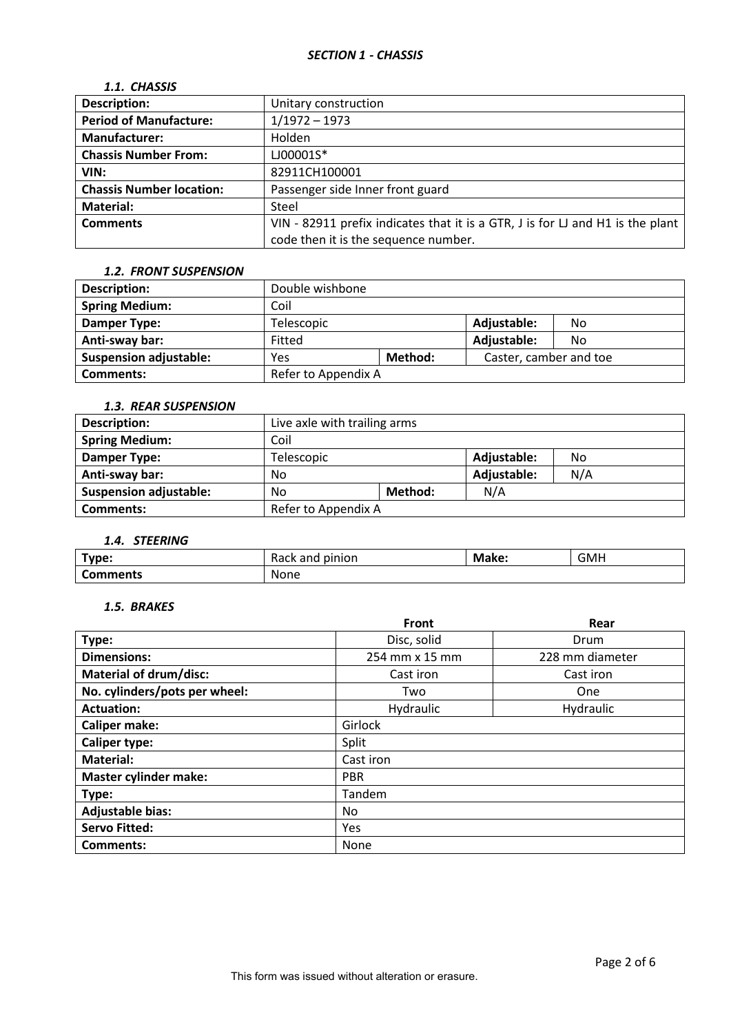| 1.1. CHASSIS                    |                                                                                |
|---------------------------------|--------------------------------------------------------------------------------|
| <b>Description:</b>             | Unitary construction                                                           |
| <b>Period of Manufacture:</b>   | $1/1972 - 1973$                                                                |
| <b>Manufacturer:</b>            | Holden                                                                         |
| <b>Chassis Number From:</b>     | LJ00001S*                                                                      |
| VIN:                            | 82911CH100001                                                                  |
| <b>Chassis Number location:</b> | Passenger side Inner front guard                                               |
| <b>Material:</b>                | Steel                                                                          |
| <b>Comments</b>                 | VIN - 82911 prefix indicates that it is a GTR, J is for LJ and H1 is the plant |
|                                 | code then it is the sequence number.                                           |

#### *1.2. FRONT SUSPENSION*

| <b>Description:</b>           | Double wishbone     |         |                        |    |
|-------------------------------|---------------------|---------|------------------------|----|
| <b>Spring Medium:</b>         | Coil                |         |                        |    |
| Damper Type:                  | Telescopic          |         | Adjustable:            | No |
| Anti-sway bar:                | Fitted              |         | Adjustable:            | No |
| <b>Suspension adjustable:</b> | Yes                 | Method: | Caster, camber and toe |    |
| <b>Comments:</b>              | Refer to Appendix A |         |                        |    |

#### *1.3. REAR SUSPENSION*

| <b>Description:</b>           | Live axle with trailing arms |                    |  |  |  |
|-------------------------------|------------------------------|--------------------|--|--|--|
| <b>Spring Medium:</b>         | Coil                         |                    |  |  |  |
| Damper Type:                  | Telescopic                   | Adjustable:<br>No  |  |  |  |
| Anti-sway bar:                | No                           | N/A<br>Adjustable: |  |  |  |
| <b>Suspension adjustable:</b> | N/A<br>Method:<br>No         |                    |  |  |  |
| <b>Comments:</b>              | Refer to Appendix A          |                    |  |  |  |

# *1.4. STEERING*

| Type:           | pinion<br>nne<br>Rack anu | Make: | <b>GMH</b> |
|-----------------|---------------------------|-------|------------|
| <b>Comments</b> | None                      |       |            |

# *1.5. BRAKES*

|                               | Front          | Rear            |  |  |
|-------------------------------|----------------|-----------------|--|--|
| Type:                         | Disc, solid    | Drum            |  |  |
| <b>Dimensions:</b>            | 254 mm x 15 mm | 228 mm diameter |  |  |
| <b>Material of drum/disc:</b> | Cast iron      | Cast iron       |  |  |
| No. cylinders/pots per wheel: | Two            | One             |  |  |
| <b>Actuation:</b>             | Hydraulic      | Hydraulic       |  |  |
| <b>Caliper make:</b>          | Girlock        |                 |  |  |
| <b>Caliper type:</b>          | Split          |                 |  |  |
| <b>Material:</b>              | Cast iron      |                 |  |  |
| <b>Master cylinder make:</b>  | <b>PBR</b>     |                 |  |  |
| Type:                         | Tandem         |                 |  |  |
| <b>Adjustable bias:</b>       | No             |                 |  |  |
| <b>Servo Fitted:</b>          | Yes            |                 |  |  |
| Comments:                     | None           |                 |  |  |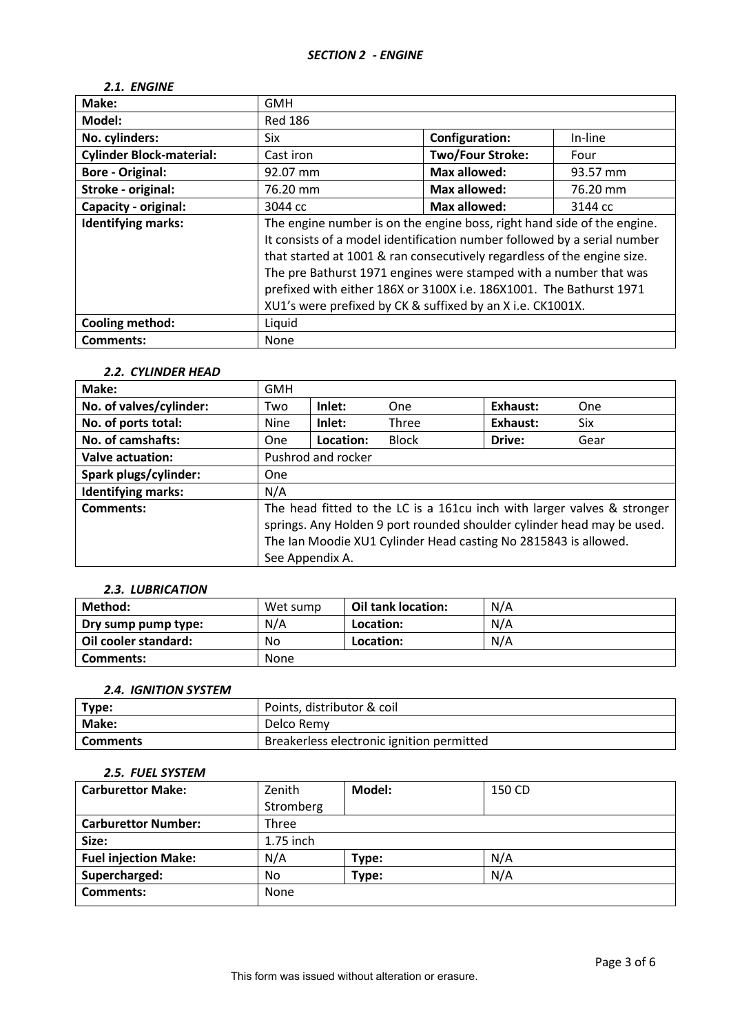## *2.1. ENGINE*

| Make:                           | <b>GMH</b>                                                                                                                                                                                                                                                                                                                                                                                                                               |                         |          |
|---------------------------------|------------------------------------------------------------------------------------------------------------------------------------------------------------------------------------------------------------------------------------------------------------------------------------------------------------------------------------------------------------------------------------------------------------------------------------------|-------------------------|----------|
| Model:                          | <b>Red 186</b>                                                                                                                                                                                                                                                                                                                                                                                                                           |                         |          |
| No. cylinders:                  | Six                                                                                                                                                                                                                                                                                                                                                                                                                                      | <b>Configuration:</b>   | In-line  |
| <b>Cylinder Block-material:</b> | Cast iron                                                                                                                                                                                                                                                                                                                                                                                                                                | <b>Two/Four Stroke:</b> | Four     |
| <b>Bore - Original:</b>         | 92.07 mm                                                                                                                                                                                                                                                                                                                                                                                                                                 | <b>Max allowed:</b>     | 93.57 mm |
| Stroke - original:              | 76.20 mm                                                                                                                                                                                                                                                                                                                                                                                                                                 | <b>Max allowed:</b>     | 76.20 mm |
| Capacity - original:            | 3044 cc                                                                                                                                                                                                                                                                                                                                                                                                                                  | <b>Max allowed:</b>     | 3144 cc  |
| <b>Identifying marks:</b>       | The engine number is on the engine boss, right hand side of the engine.<br>It consists of a model identification number followed by a serial number<br>that started at 1001 & ran consecutively regardless of the engine size.<br>The pre Bathurst 1971 engines were stamped with a number that was<br>prefixed with either 186X or 3100X i.e. 186X1001. The Bathurst 1971<br>XU1's were prefixed by CK & suffixed by an X i.e. CK1001X. |                         |          |
| <b>Cooling method:</b>          | Liquid                                                                                                                                                                                                                                                                                                                                                                                                                                   |                         |          |
| <b>Comments:</b>                | None                                                                                                                                                                                                                                                                                                                                                                                                                                     |                         |          |

# *2.2. CYLINDER HEAD*

| Make:                     | <b>GMH</b>         |           |                                                                                                                                                                                                                      |          |      |
|---------------------------|--------------------|-----------|----------------------------------------------------------------------------------------------------------------------------------------------------------------------------------------------------------------------|----------|------|
| No. of valves/cylinder:   | Two                | Inlet:    | One                                                                                                                                                                                                                  | Exhaust: | One  |
| No. of ports total:       | Nine               | Inlet:    | Three                                                                                                                                                                                                                | Exhaust: | Six  |
| No. of camshafts:         | <b>One</b>         | Location: | <b>Block</b>                                                                                                                                                                                                         | Drive:   | Gear |
| Valve actuation:          | Pushrod and rocker |           |                                                                                                                                                                                                                      |          |      |
| Spark plugs/cylinder:     | One                |           |                                                                                                                                                                                                                      |          |      |
| <b>Identifying marks:</b> | N/A                |           |                                                                                                                                                                                                                      |          |      |
| <b>Comments:</b>          | See Appendix A.    |           | The head fitted to the LC is a 161cu inch with larger valves & stronger<br>springs. Any Holden 9 port rounded shoulder cylinder head may be used.<br>The Ian Moodie XU1 Cylinder Head casting No 2815843 is allowed. |          |      |

# *2.3. LUBRICATION*

| Method:              | Wet sump | Oil tank location: | N/A |
|----------------------|----------|--------------------|-----|
| Dry sump pump type:  | N/A      | Location:          | N/A |
| Oil cooler standard: | No       | Location:          | N/A |
| Comments:            | None     |                    |     |

# *2.4. IGNITION SYSTEM*

| Type:           | Points, distributor & coil                |
|-----------------|-------------------------------------------|
| Make:           | Delco Remy                                |
| <b>Comments</b> | Breakerless electronic ignition permitted |

# *2.5. FUEL SYSTEM*

| <b>Carburettor Make:</b>    | Zenith    | Model: | 150 CD |
|-----------------------------|-----------|--------|--------|
|                             | Stromberg |        |        |
| <b>Carburettor Number:</b>  | Three     |        |        |
| Size:                       | 1.75 inch |        |        |
| <b>Fuel injection Make:</b> | N/A       | Type:  | N/A    |
| Supercharged:               | No        | Type:  | N/A    |
| Comments:                   | None      |        |        |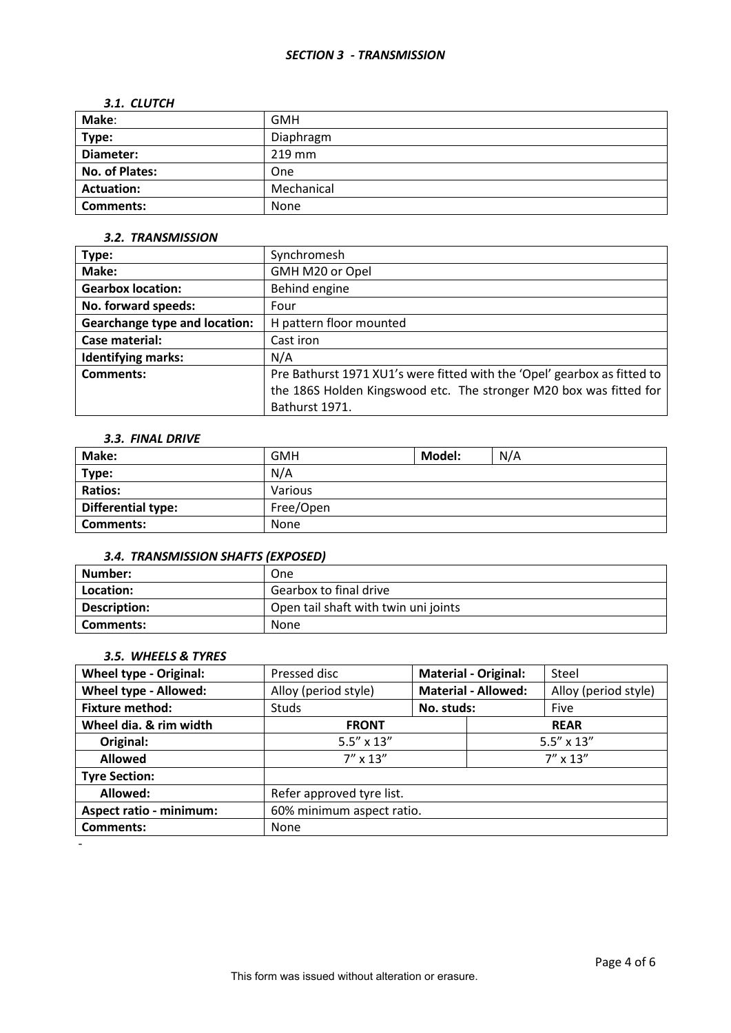# *3.1. CLUTCH*

| Make:                 | <b>GMH</b> |
|-----------------------|------------|
| Type:                 | Diaphragm  |
| Diameter:             | $219$ mm   |
| <b>No. of Plates:</b> | <b>One</b> |
| <b>Actuation:</b>     | Mechanical |
| <b>Comments:</b>      | None       |

#### *3.2. TRANSMISSION*

| Type:                                | Synchromesh                                                              |
|--------------------------------------|--------------------------------------------------------------------------|
| Make:                                | GMH M20 or Opel                                                          |
| <b>Gearbox location:</b>             | Behind engine                                                            |
| No. forward speeds:                  | Four                                                                     |
| <b>Gearchange type and location:</b> | H pattern floor mounted                                                  |
| Case material:                       | Cast iron                                                                |
| <b>Identifying marks:</b>            | N/A                                                                      |
| Comments:                            | Pre Bathurst 1971 XU1's were fitted with the 'Opel' gearbox as fitted to |
|                                      | the 186S Holden Kingswood etc. The stronger M20 box was fitted for       |
|                                      | Bathurst 1971.                                                           |

# *3.3. FINAL DRIVE*

| Make:              | <b>GMH</b> | Model: | N/A |
|--------------------|------------|--------|-----|
| Type:              | N/A        |        |     |
| <b>Ratios:</b>     | Various    |        |     |
| Differential type: | Free/Open  |        |     |
| <b>Comments:</b>   | None       |        |     |

#### *3.4. TRANSMISSION SHAFTS (EXPOSED)*

| l Number:           | One                                  |
|---------------------|--------------------------------------|
| Location:           | Gearbox to final drive               |
| <b>Description:</b> | Open tail shaft with twin uni joints |
| Comments:           | None                                 |

# *3.5. WHEELS & TYRES*

| <b>Wheel type - Original:</b>  | Pressed disc              | <b>Material - Original:</b> |                     | Steel                |
|--------------------------------|---------------------------|-----------------------------|---------------------|----------------------|
| Wheel type - Allowed:          | Alloy (period style)      | <b>Material - Allowed:</b>  |                     | Alloy (period style) |
| <b>Fixture method:</b>         | <b>Studs</b>              | No. studs:                  |                     | Five                 |
| Wheel dia. & rim width         | <b>FRONT</b>              | <b>REAR</b>                 |                     |                      |
| Original:                      | $5.5'' \times 13''$       |                             | $5.5'' \times 13''$ |                      |
| <b>Allowed</b>                 | $7'' \times 13''$         |                             |                     | $7'' \times 13''$    |
| <b>Tyre Section:</b>           |                           |                             |                     |                      |
| Allowed:                       | Refer approved tyre list. |                             |                     |                      |
| <b>Aspect ratio - minimum:</b> | 60% minimum aspect ratio. |                             |                     |                      |
| <b>Comments:</b>               | None                      |                             |                     |                      |
|                                |                           |                             |                     |                      |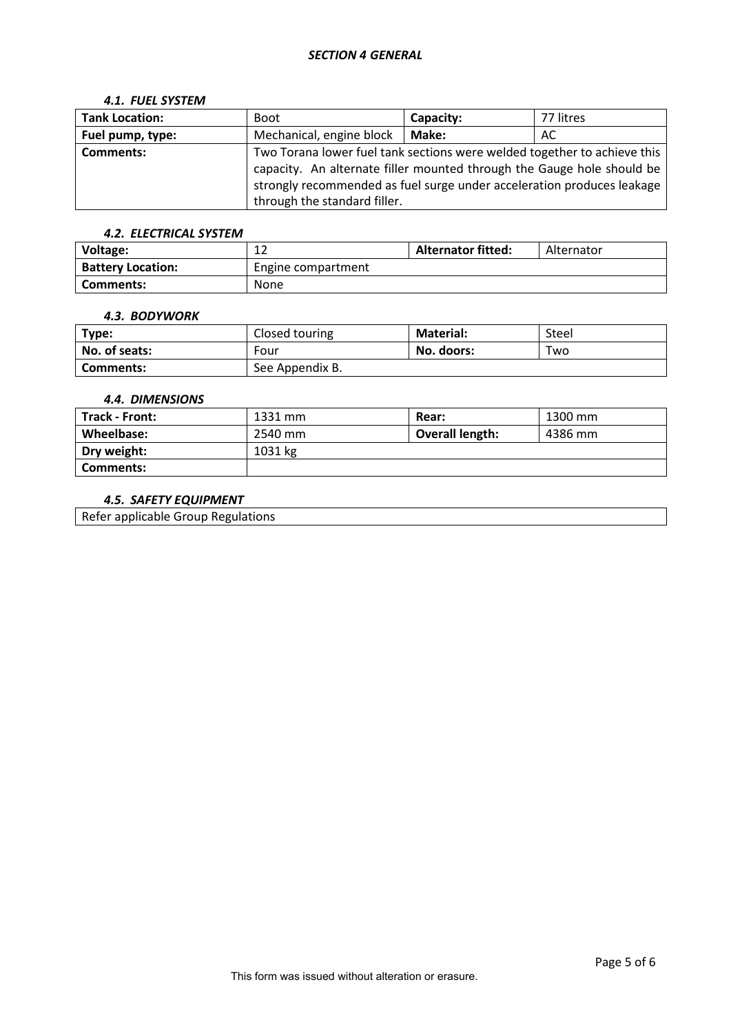#### *SECTION 4 GENERAL*

#### *4.1. FUEL SYSTEM*

| <b>Tank Location:</b> | <b>Boot</b>                                                              | Capacity: | 77 litres |  |
|-----------------------|--------------------------------------------------------------------------|-----------|-----------|--|
| Fuel pump, type:      | Mechanical, engine block                                                 | Make:     | AC        |  |
| <b>Comments:</b>      | Two Torana lower fuel tank sections were welded together to achieve this |           |           |  |
|                       | capacity. An alternate filler mounted through the Gauge hole should be   |           |           |  |
|                       | strongly recommended as fuel surge under acceleration produces leakage   |           |           |  |
|                       | through the standard filler.                                             |           |           |  |

# *4.2. ELECTRICAL SYSTEM*

| Voltage:                 | ∸                  | <b>Alternator fitted:</b> | Alternator |
|--------------------------|--------------------|---------------------------|------------|
| <b>Battery Location:</b> | Engine compartment |                           |            |
| Comments:                | None               |                           |            |

### *4.3. BODYWORK*

| Type:         | Closed touring  | <b>Material:</b> | Steel |
|---------------|-----------------|------------------|-------|
| No. of seats: | Four            | No. doors:       | Two   |
| Comments:     | See Appendix B. |                  |       |

## *4.4. DIMENSIONS*

| <b>Track - Front:</b> | 1331 mm | Rear:                  | 1300 mm |
|-----------------------|---------|------------------------|---------|
| Wheelbase:            | 2540 mm | <b>Overall length:</b> | 4386 mm |
| Dry weight:           | 1031 kg |                        |         |
| <b>Comments:</b>      |         |                        |         |

#### *4.5. SAFETY EQUIPMENT*

Refer applicable Group Regulations